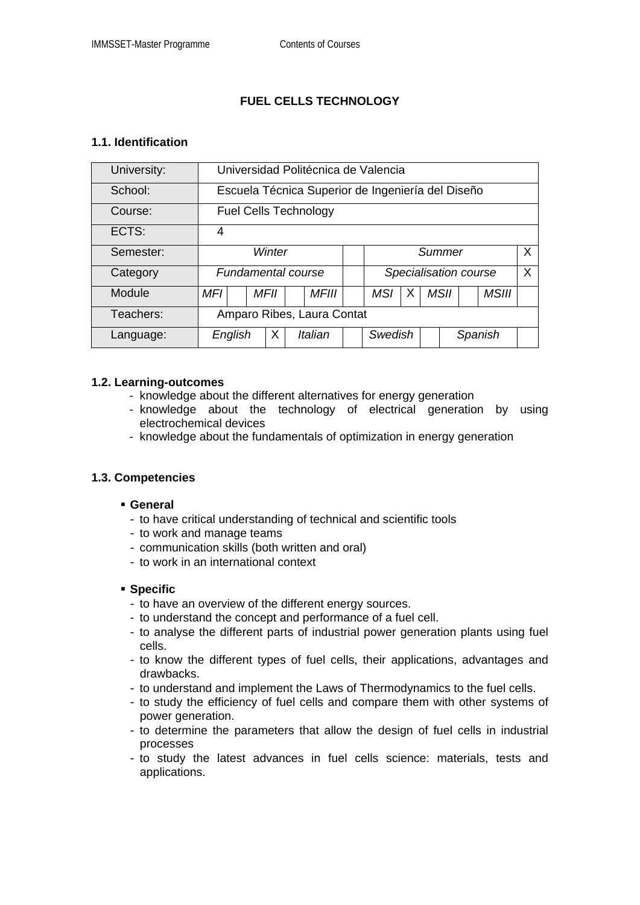# **FUEL CELLS TECHNOLOGY**

#### **1.1. Identification**

| University: | Universidad Politécnica de Valencia               |  |      |  |              |  |                       |   |  |         |  |              |  |
|-------------|---------------------------------------------------|--|------|--|--------------|--|-----------------------|---|--|---------|--|--------------|--|
| School:     | Escuela Técnica Superior de Ingeniería del Diseño |  |      |  |              |  |                       |   |  |         |  |              |  |
| Course:     | <b>Fuel Cells Technology</b>                      |  |      |  |              |  |                       |   |  |         |  |              |  |
| ECTS:       | 4                                                 |  |      |  |              |  |                       |   |  |         |  |              |  |
| Semester:   | Winter                                            |  |      |  |              |  | X<br>Summer           |   |  |         |  |              |  |
| Category    | <b>Fundamental course</b>                         |  |      |  |              |  | Specialisation course |   |  |         |  |              |  |
| Module      | <b>MFI</b>                                        |  | MFII |  | <b>MFIII</b> |  | <b>MSI</b>            | х |  | MSII    |  | <b>MSIII</b> |  |
| Teachers:   | Amparo Ribes, Laura Contat                        |  |      |  |              |  |                       |   |  |         |  |              |  |
| Language:   | English                                           |  | Х    |  | Italian      |  | Swedish               |   |  | Spanish |  |              |  |

#### **1.2. Learning-outcomes**

- knowledge about the different alternatives for energy generation
- knowledge about the technology of electrical generation by using electrochemical devices
- knowledge about the fundamentals of optimization in energy generation

## **1.3. Competencies**

#### **General**

- to have critical understanding of technical and scientific tools
- to work and manage teams
- communication skills (both written and oral)
- to work in an international context

#### **Specific**

- to have an overview of the different energy sources.
- to understand the concept and performance of a fuel cell.
- to analyse the different parts of industrial power generation plants using fuel cells.
- to know the different types of fuel cells, their applications, advantages and drawbacks.
- to understand and implement the Laws of Thermodynamics to the fuel cells.
- to study the efficiency of fuel cells and compare them with other systems of power generation.
- to determine the parameters that allow the design of fuel cells in industrial processes
- to study the latest advances in fuel cells science: materials, tests and applications.